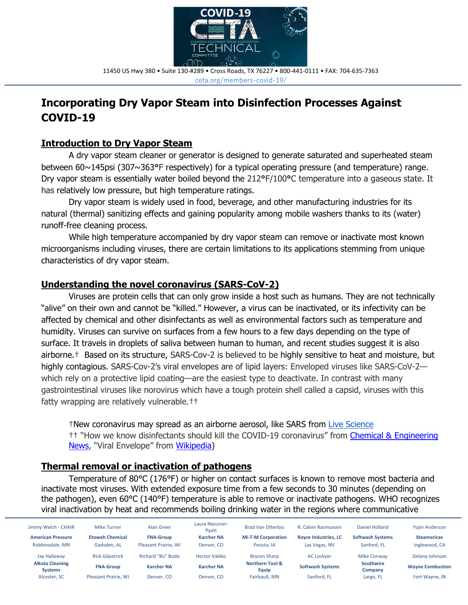

11450 US Hwy 380 • Suite 130-#289 • Cross Roads, TX 76227 • 800-441-0111 • FAX: 704-635-7363 ceta.org/members-covid-19/

# **Incorporating Dry Vapor Steam into Disinfection Processes Against COVID-19**

## **Introduction to Dry Vapor Steam**

A dry vapor steam cleaner or generator is designed to generate saturated and superheated steam between 60~145psi (307~363**°**F respectively) for a typical operating pressure (and temperature) range. Dry vapor steam is essentially water boiled beyond the 212**°**F/100**°**C temperature into a gaseous state. It has relatively low pressure, but high temperature ratings.

Dry vapor steam is widely used in food, beverage, and other manufacturing industries for its natural (thermal) sanitizing effects and gaining popularity among mobile washers thanks to its (water) runoff-free cleaning process.

While high temperature accompanied by dry vapor steam can remove or inactivate most known microorganisms including viruses, there are certain limitations to its applications stemming from unique characteristics of dry vapor steam.

## **Understanding the novel coronavirus (SARS-CoV-2)**

Viruses are protein cells that can only grow inside a host such as humans. They are not technically "alive" on their own and cannot be "killed." However, a virus can be inactivated, or its infectivity can be affected by chemical and other disinfectants as well as environmental factors such as temperature and humidity. Viruses can survive on surfaces from a few hours to a few days depending on the type of surface. It travels in droplets of saliva between human to human, and recent studies suggest it is also airborne.† Based on its structure, SARS-Cov-2 is believed to be highly sensitive to heat and moisture, but highly contagious. SARS-Cov-2's viral envelopes are of lipid layers: Enveloped viruses like SARS-CoV-2 which rely on a protective lipid coating—are the easiest type to deactivate. In contrast with many gastrointestinal viruses like norovirus which have a tough protein shell called a capsid, viruses with this fatty wrapping are relatively vulnerable.††

†New coronavirus may spread as an airborne aerosol, like SARS from [Live Science](https://www.livescience.com/coronavirus-can-spread-as-an-aerosol.html) <sup>††</sup> "How we know disinfectants should kill the COVID-19 coronavirus" from Chemical & Engineering [News](https://cen.acs.org/biological-chemistry/infectious-disease/How-we-know-disinfectants-should-kill-the-COVID-19-coronavirus/98/web/2020/03), "Viral Envelope" from [Wikipedia\)](https://en.wikipedia.org/wiki/Viral_envelope)

## **Thermal removal or inactivation of pathogens**

Temperature of 80°C (176°F) or higher on contact surfaces is known to remove most bacteria and inactivate most viruses. With extended exposure time from a few seconds to 30 minutes (depending on the pathogen), even 60°C (140°F) temperature is able to remove or inactivate pathogens. WHO recognizes viral inactivation by heat and recommends boiling drinking water in the regions where communicative

| Jimmy Welch - CHAIR                      | <b>Mike Turner</b>          | Alan Greer                  | Laura Niessner-<br>Pvatt | <b>Brad Van Otterloo</b>            | R. Calvin Rasmussen         | Daniel Holland              | <b>Yujin Anderson</b>   |
|------------------------------------------|-----------------------------|-----------------------------|--------------------------|-------------------------------------|-----------------------------|-----------------------------|-------------------------|
| <b>American Pressure</b>                 | <b>Etowah Chemical</b>      | <b>FNA-Group</b>            | <b>Karcher NA</b>        | <b>Mi-T-M Corporation</b>           | <b>Royce Industries, LC</b> | <b>Softwash Systems</b>     | <b>Steamericas</b>      |
| Robbinsdale, MN                          | Gadsden. AL                 | <b>Pleasant Prairie, WI</b> | Denver, CO               | Peosta. IA                          | Las Vegas, NV               | Sanford, FL                 | Inglewood, CA           |
| Jay Hallaway                             | <b>Rick Gilpatrick</b>      | Richard "Bo" Bodo           | <b>Hector Valdez</b>     | <b>Bryson Sharp</b>                 | AC Lockver                  | <b>Mike Conway</b>          | Delany Johnson          |
| <b>Alkota Cleaning</b><br><b>Systems</b> | <b>FNA-Group</b>            | <b>Karcher NA</b>           | <b>Karcher NA</b>        | <b>Northern Tool &amp;</b><br>Equip | <b>Softwash Systems</b>     | <b>Southwire</b><br>Company | <b>Wayne Combustion</b> |
| Alcester, SC                             | <b>Pleasant Prairie. WI</b> | Denver, CO                  | Denver, CO               | Fairbault, MN                       | Sanford, FL                 | Largo, FL                   | Fort Wayne, IN          |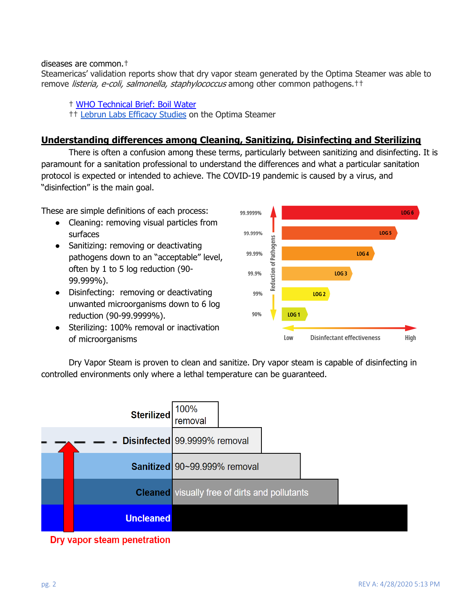#### diseases are common.†

Steamericas' validation reports show that dry vapor steam generated by the Optima Steamer was able to remove listeria, e-coli, salmonella, staphylococcus among other common pathogens.<sup>††</sup>

† [WHO Technical Brief: Boil Water](https://www.who.int/water_sanitation_health/dwq/Boiling_water_01_15.pdf) †† [Lebrun Labs Efficacy Studies](https://www.steamericas.com/lab-certificates/) on the Optima Steamer

## **Understanding differences among Cleaning, Sanitizing, Disinfecting and Sterilizing**

There is often a confusion among these terms, particularly between sanitizing and disinfecting. It is paramount for a sanitation professional to understand the differences and what a particular sanitation protocol is expected or intended to achieve. The COVID-19 pandemic is caused by a virus, and "disinfection" is the main goal.

These are simple definitions of each process:

- Cleaning: removing visual particles from surfaces
- Sanitizing: removing or deactivating pathogens down to an "acceptable" level, often by 1 to 5 log reduction (90- 99.999%).
- Disinfecting: removing or deactivating unwanted microorganisms down to 6 log reduction (90-99.9999%).
- Sterilizing: 100% removal or inactivation of microorganisms



Dry Vapor Steam is proven to clean and sanitize. Dry vapor steam is capable of disinfecting in controlled environments only where a lethal temperature can be guaranteed.



Dry vapor steam penetration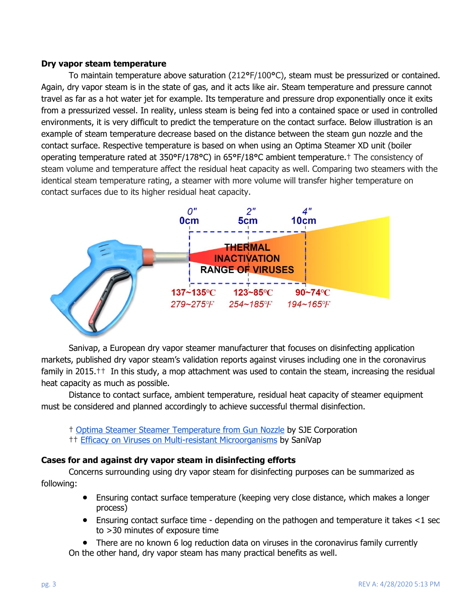#### **Dry vapor steam temperature**

To maintain temperature above saturation (212**°**F/100**°**C), steam must be pressurized or contained. Again, dry vapor steam is in the state of gas, and it acts like air. Steam temperature and pressure cannot travel as far as a hot water jet for example. Its temperature and pressure drop exponentially once it exits from a pressurized vessel. In reality, unless steam is being fed into a contained space or used in controlled environments, it is very difficult to predict the temperature on the contact surface. Below illustration is an example of steam temperature decrease based on the distance between the steam gun nozzle and the contact surface. Respective temperature is based on when using an Optima Steamer XD unit (boiler operating temperature rated at 350**°**F/178**°**C) in 65**°**F/18**°**C ambient temperature.† The consistency of steam volume and temperature affect the residual heat capacity as well. Comparing two steamers with the identical steam temperature rating, a steamer with more volume will transfer higher temperature on contact surfaces due to its higher residual heat capacity.



Sanivap, a European dry vapor steamer manufacturer that focuses on disinfecting application markets, published dry vapor steam's validation reports against viruses including one in the coronavirus family in 2015.†† In this study, a mop attachment was used to contain the steam, increasing the residual heat capacity as much as possible.

Distance to contact surface, ambient temperature, residual heat capacity of steamer equipment must be considered and planned accordingly to achieve successful thermal disinfection.

- † Optima Steamer Steamer [Temperature from Gun Nozzle](https://drive.google.com/file/d/12oAGB8HclJYUFPMPdDnZkSH5ZeGnrZUS/view?usp=sharing) by SJE Corporation
- †† [Efficacy on Viruses on Multi-resistant Microorganisms](http://www.sanivap.fr/wp-content/uploads/VALIDATION-DISINFECTION-EFFICACY-VIRUSES-MULTI-RESISTANT-MICRO-ORGANISMS-STEAM-ONLY-EXTRACT-FONDEREPHAR-dec2015.pdf) by SaniVap

#### **Cases for and against dry vapor steam in disinfecting efforts**

Concerns surrounding using dry vapor steam for disinfecting purposes can be summarized as following:

- Ensuring contact surface temperature (keeping very close distance, which makes a longer process)
- Ensuring contact surface time depending on the pathogen and temperature it takes <1 sec to >30 minutes of exposure time
- There are no known 6 log reduction data on viruses in the coronavirus family currently On the other hand, dry vapor steam has many practical benefits as well.